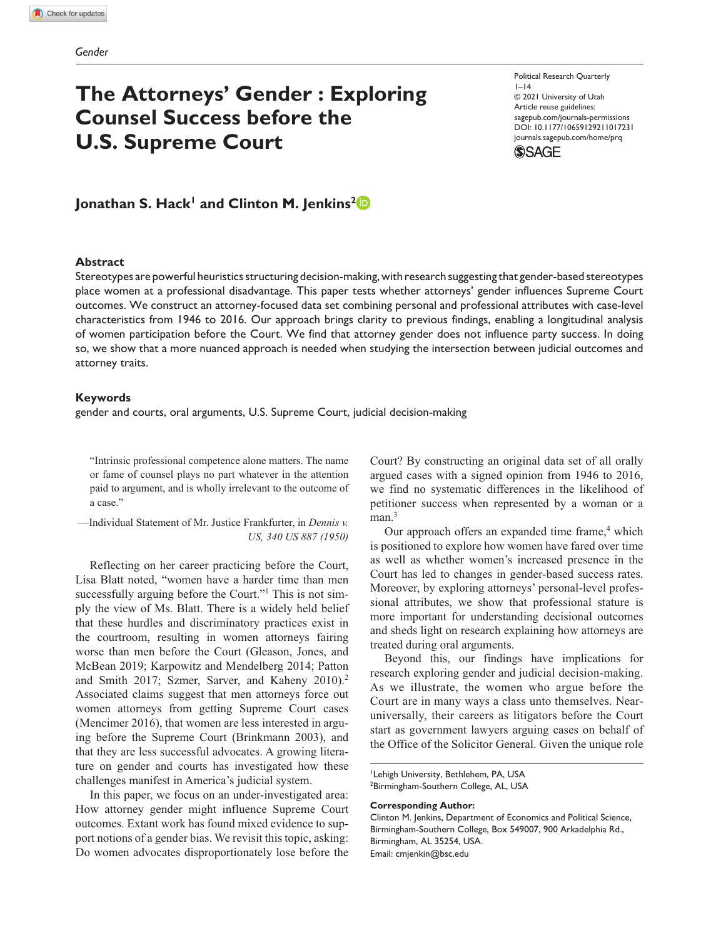# **The Attorneys' Gender : Exploring Counsel Success before the U.S. Supreme Court**

Political Research Quarterly  $1-14$ © 2021 University of Utah Article reuse guidelines: [sagepub.com/journals-permissions](https://us.sagepub.com/en-us/journals-permissions) https://doi.org/10.1177/10659129211017231 DOI: 10.1177/10659129211017231 [journals.sagepub.com/home/prq](https://journals.sagepub.com/home/prq) **SSAGE** 

# Jonathan S. Hack<sup>1</sup> and Clinton M. Jenkins<sup>2</sup><sup>D</sup>

#### **Abstract**

Stereotypes are powerful heuristics structuring decision-making, with research suggesting that gender-based stereotypes place women at a professional disadvantage. This paper tests whether attorneys' gender influences Supreme Court outcomes. We construct an attorney-focused data set combining personal and professional attributes with case-level characteristics from 1946 to 2016. Our approach brings clarity to previous findings, enabling a longitudinal analysis of women participation before the Court. We find that attorney gender does not influence party success. In doing so, we show that a more nuanced approach is needed when studying the intersection between judicial outcomes and attorney traits.

#### **Keywords**

gender and courts, oral arguments, U.S. Supreme Court, judicial decision-making

"Intrinsic professional competence alone matters. The name or fame of counsel plays no part whatever in the attention paid to argument, and is wholly irrelevant to the outcome of a case."

—Individual Statement of Mr. Justice Frankfurter, in *Dennis v. US, 340 US 887 (1950)*

Reflecting on her career practicing before the Court, Lisa Blatt noted, "women have a harder time than men successfully arguing before the Court."<sup>1</sup> This is not simply the view of Ms. Blatt. There is a widely held belief that these hurdles and discriminatory practices exist in the courtroom, resulting in women attorneys fairing worse than men before the Court (Gleason, Jones, and McBean 2019; Karpowitz and Mendelberg 2014; Patton and Smith 2017; Szmer, Sarver, and Kaheny 2010).2 Associated claims suggest that men attorneys force out women attorneys from getting Supreme Court cases (Mencimer 2016), that women are less interested in arguing before the Supreme Court (Brinkmann 2003), and that they are less successful advocates. A growing literature on gender and courts has investigated how these challenges manifest in America's judicial system.

In this paper, we focus on an under-investigated area: How attorney gender might influence Supreme Court outcomes. Extant work has found mixed evidence to support notions of a gender bias. We revisit this topic, asking: Do women advocates disproportionately lose before the Court? By constructing an original data set of all orally argued cases with a signed opinion from 1946 to 2016, we find no systematic differences in the likelihood of petitioner success when represented by a woman or a  $man.<sup>3</sup>$ 

Our approach offers an expanded time frame,<sup>4</sup> which is positioned to explore how women have fared over time as well as whether women's increased presence in the Court has led to changes in gender-based success rates. Moreover, by exploring attorneys' personal-level professional attributes, we show that professional stature is more important for understanding decisional outcomes and sheds light on research explaining how attorneys are treated during oral arguments.

Beyond this, our findings have implications for research exploring gender and judicial decision-making. As we illustrate, the women who argue before the Court are in many ways a class unto themselves. Nearuniversally, their careers as litigators before the Court start as government lawyers arguing cases on behalf of the Office of the Solicitor General. Given the unique role

1 Lehigh University, Bethlehem, PA, USA <sup>2</sup>Birmingham-Southern College, AL, USA

#### **Corresponding Author:**

Clinton M. Jenkins, Department of Economics and Political Science, Birmingham-Southern College, Box 549007, 900 Arkadelphia Rd., Birmingham, AL 35254, USA. Email: [cmjenkin@bsc.edu](mailto:cmjenkin@bsc.edu)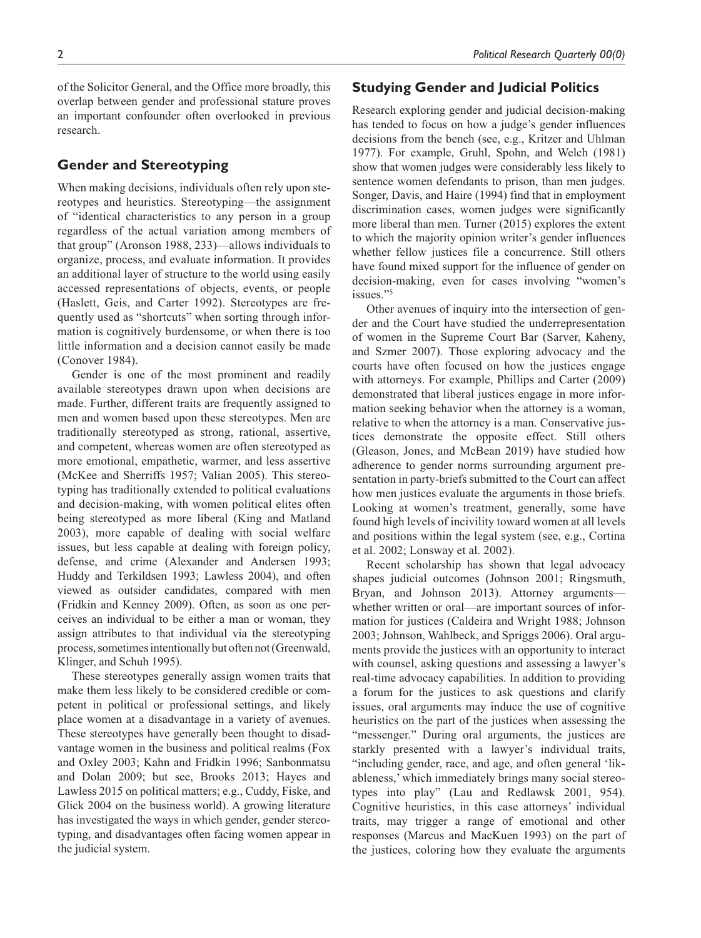of the Solicitor General, and the Office more broadly, this overlap between gender and professional stature proves an important confounder often overlooked in previous research.

# **Gender and Stereotyping**

When making decisions, individuals often rely upon stereotypes and heuristics. Stereotyping—the assignment of "identical characteristics to any person in a group regardless of the actual variation among members of that group" (Aronson 1988, 233)—allows individuals to organize, process, and evaluate information. It provides an additional layer of structure to the world using easily accessed representations of objects, events, or people (Haslett, Geis, and Carter 1992). Stereotypes are frequently used as "shortcuts" when sorting through information is cognitively burdensome, or when there is too little information and a decision cannot easily be made (Conover 1984).

Gender is one of the most prominent and readily available stereotypes drawn upon when decisions are made. Further, different traits are frequently assigned to men and women based upon these stereotypes. Men are traditionally stereotyped as strong, rational, assertive, and competent, whereas women are often stereotyped as more emotional, empathetic, warmer, and less assertive (McKee and Sherriffs 1957; Valian 2005). This stereotyping has traditionally extended to political evaluations and decision-making, with women political elites often being stereotyped as more liberal (King and Matland 2003), more capable of dealing with social welfare issues, but less capable at dealing with foreign policy, defense, and crime (Alexander and Andersen 1993; Huddy and Terkildsen 1993; Lawless 2004), and often viewed as outsider candidates, compared with men (Fridkin and Kenney 2009). Often, as soon as one perceives an individual to be either a man or woman, they assign attributes to that individual via the stereotyping process, sometimes intentionally but often not (Greenwald, Klinger, and Schuh 1995).

These stereotypes generally assign women traits that make them less likely to be considered credible or competent in political or professional settings, and likely place women at a disadvantage in a variety of avenues. These stereotypes have generally been thought to disadvantage women in the business and political realms (Fox and Oxley 2003; Kahn and Fridkin 1996; Sanbonmatsu and Dolan 2009; but see, Brooks 2013; Hayes and Lawless 2015 on political matters; e.g., Cuddy, Fiske, and Glick 2004 on the business world). A growing literature has investigated the ways in which gender, gender stereotyping, and disadvantages often facing women appear in the judicial system.

# **Studying Gender and Judicial Politics**

Research exploring gender and judicial decision-making has tended to focus on how a judge's gender influences decisions from the bench (see, e.g., Kritzer and Uhlman 1977). For example, Gruhl, Spohn, and Welch (1981) show that women judges were considerably less likely to sentence women defendants to prison, than men judges. Songer, Davis, and Haire (1994) find that in employment discrimination cases, women judges were significantly more liberal than men. Turner (2015) explores the extent to which the majority opinion writer's gender influences whether fellow justices file a concurrence. Still others have found mixed support for the influence of gender on decision-making, even for cases involving "women's issues."5

Other avenues of inquiry into the intersection of gender and the Court have studied the underrepresentation of women in the Supreme Court Bar (Sarver, Kaheny, and Szmer 2007). Those exploring advocacy and the courts have often focused on how the justices engage with attorneys. For example, Phillips and Carter (2009) demonstrated that liberal justices engage in more information seeking behavior when the attorney is a woman, relative to when the attorney is a man. Conservative justices demonstrate the opposite effect. Still others (Gleason, Jones, and McBean 2019) have studied how adherence to gender norms surrounding argument presentation in party-briefs submitted to the Court can affect how men justices evaluate the arguments in those briefs. Looking at women's treatment, generally, some have found high levels of incivility toward women at all levels and positions within the legal system (see, e.g., Cortina et al. 2002; Lonsway et al. 2002).

Recent scholarship has shown that legal advocacy shapes judicial outcomes (Johnson 2001; Ringsmuth, Bryan, and Johnson 2013). Attorney arguments whether written or oral—are important sources of information for justices (Caldeira and Wright 1988; Johnson 2003; Johnson, Wahlbeck, and Spriggs 2006). Oral arguments provide the justices with an opportunity to interact with counsel, asking questions and assessing a lawyer's real-time advocacy capabilities. In addition to providing a forum for the justices to ask questions and clarify issues, oral arguments may induce the use of cognitive heuristics on the part of the justices when assessing the "messenger." During oral arguments, the justices are starkly presented with a lawyer's individual traits, "including gender, race, and age, and often general 'likableness,' which immediately brings many social stereotypes into play" (Lau and Redlawsk 2001, 954). Cognitive heuristics, in this case attorneys' individual traits, may trigger a range of emotional and other responses (Marcus and MacKuen 1993) on the part of the justices, coloring how they evaluate the arguments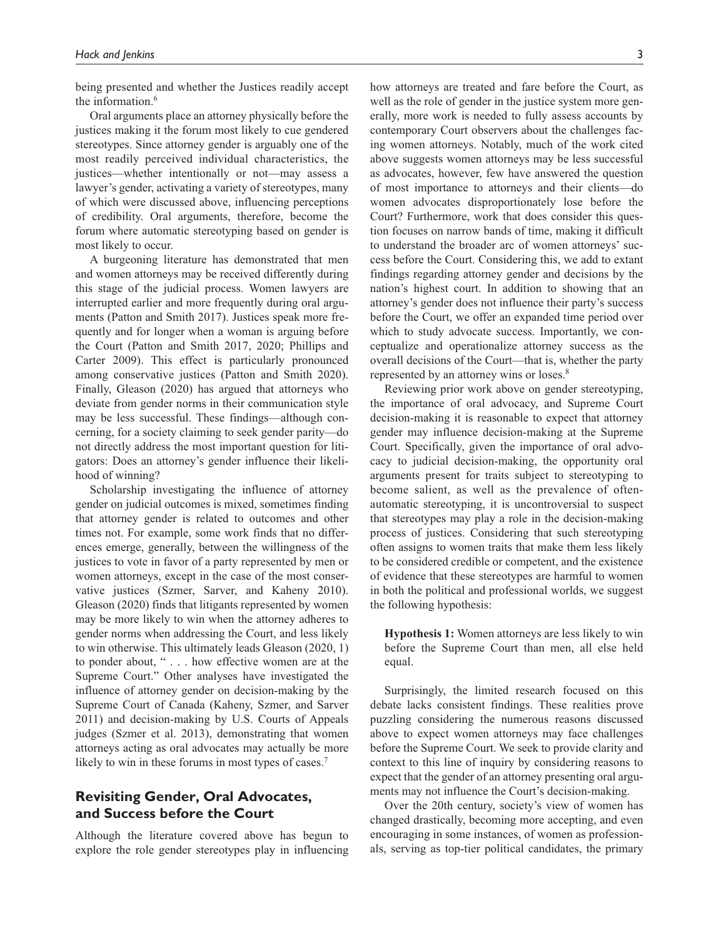being presented and whether the Justices readily accept the information.<sup>6</sup>

Oral arguments place an attorney physically before the justices making it the forum most likely to cue gendered stereotypes. Since attorney gender is arguably one of the most readily perceived individual characteristics, the justices—whether intentionally or not—may assess a lawyer's gender, activating a variety of stereotypes, many of which were discussed above, influencing perceptions of credibility. Oral arguments, therefore, become the forum where automatic stereotyping based on gender is most likely to occur.

A burgeoning literature has demonstrated that men and women attorneys may be received differently during this stage of the judicial process. Women lawyers are interrupted earlier and more frequently during oral arguments (Patton and Smith 2017). Justices speak more frequently and for longer when a woman is arguing before the Court (Patton and Smith 2017, 2020; Phillips and Carter 2009). This effect is particularly pronounced among conservative justices (Patton and Smith 2020). Finally, Gleason (2020) has argued that attorneys who deviate from gender norms in their communication style may be less successful. These findings—although concerning, for a society claiming to seek gender parity—do not directly address the most important question for litigators: Does an attorney's gender influence their likelihood of winning?

Scholarship investigating the influence of attorney gender on judicial outcomes is mixed, sometimes finding that attorney gender is related to outcomes and other times not. For example, some work finds that no differences emerge, generally, between the willingness of the justices to vote in favor of a party represented by men or women attorneys, except in the case of the most conservative justices (Szmer, Sarver, and Kaheny 2010). Gleason (2020) finds that litigants represented by women may be more likely to win when the attorney adheres to gender norms when addressing the Court, and less likely to win otherwise. This ultimately leads Gleason (2020, 1) to ponder about, " . . . how effective women are at the Supreme Court." Other analyses have investigated the influence of attorney gender on decision-making by the Supreme Court of Canada (Kaheny, Szmer, and Sarver 2011) and decision-making by U.S. Courts of Appeals judges (Szmer et al. 2013), demonstrating that women attorneys acting as oral advocates may actually be more likely to win in these forums in most types of cases.<sup>7</sup>

# **Revisiting Gender, Oral Advocates, and Success before the Court**

Although the literature covered above has begun to explore the role gender stereotypes play in influencing how attorneys are treated and fare before the Court, as well as the role of gender in the justice system more generally, more work is needed to fully assess accounts by contemporary Court observers about the challenges facing women attorneys. Notably, much of the work cited above suggests women attorneys may be less successful as advocates, however, few have answered the question of most importance to attorneys and their clients—do women advocates disproportionately lose before the Court? Furthermore, work that does consider this question focuses on narrow bands of time, making it difficult to understand the broader arc of women attorneys' success before the Court. Considering this, we add to extant findings regarding attorney gender and decisions by the nation's highest court. In addition to showing that an attorney's gender does not influence their party's success before the Court, we offer an expanded time period over which to study advocate success. Importantly, we conceptualize and operationalize attorney success as the overall decisions of the Court—that is, whether the party represented by an attorney wins or loses.8

Reviewing prior work above on gender stereotyping, the importance of oral advocacy, and Supreme Court decision-making it is reasonable to expect that attorney gender may influence decision-making at the Supreme Court. Specifically, given the importance of oral advocacy to judicial decision-making, the opportunity oral arguments present for traits subject to stereotyping to become salient, as well as the prevalence of oftenautomatic stereotyping, it is uncontroversial to suspect that stereotypes may play a role in the decision-making process of justices. Considering that such stereotyping often assigns to women traits that make them less likely to be considered credible or competent, and the existence of evidence that these stereotypes are harmful to women in both the political and professional worlds, we suggest the following hypothesis:

**Hypothesis 1:** Women attorneys are less likely to win before the Supreme Court than men, all else held equal.

Surprisingly, the limited research focused on this debate lacks consistent findings. These realities prove puzzling considering the numerous reasons discussed above to expect women attorneys may face challenges before the Supreme Court. We seek to provide clarity and context to this line of inquiry by considering reasons to expect that the gender of an attorney presenting oral arguments may not influence the Court's decision-making.

Over the 20th century, society's view of women has changed drastically, becoming more accepting, and even encouraging in some instances, of women as professionals, serving as top-tier political candidates, the primary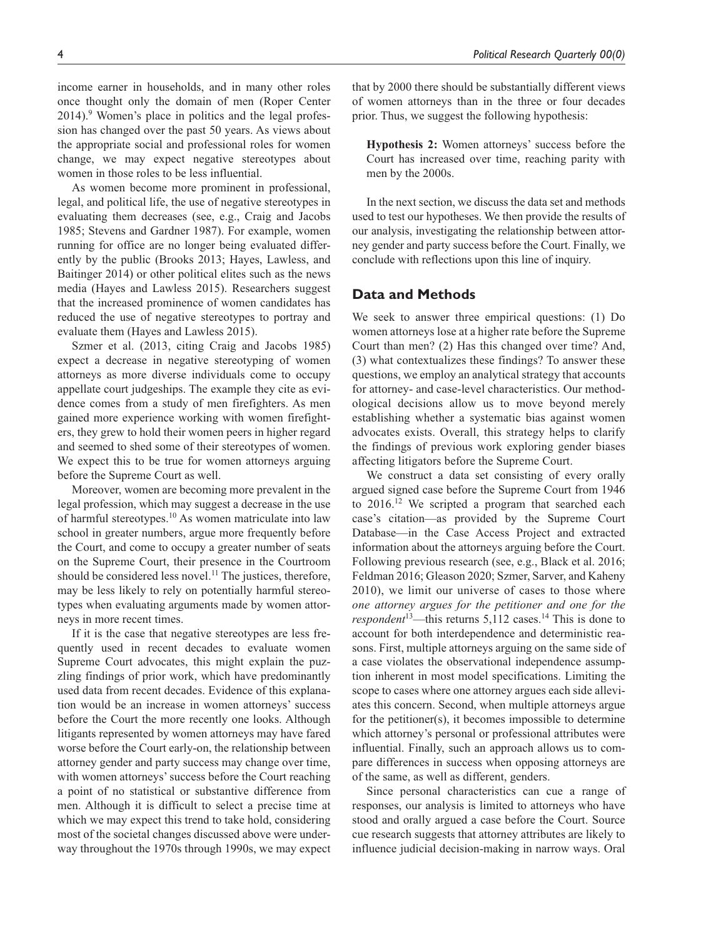income earner in households, and in many other roles once thought only the domain of men (Roper Center 2014).<sup>9</sup> Women's place in politics and the legal profession has changed over the past 50 years. As views about the appropriate social and professional roles for women change, we may expect negative stereotypes about women in those roles to be less influential.

As women become more prominent in professional, legal, and political life, the use of negative stereotypes in evaluating them decreases (see, e.g., Craig and Jacobs 1985; Stevens and Gardner 1987). For example, women running for office are no longer being evaluated differently by the public (Brooks 2013; Hayes, Lawless, and Baitinger 2014) or other political elites such as the news media (Hayes and Lawless 2015). Researchers suggest that the increased prominence of women candidates has reduced the use of negative stereotypes to portray and evaluate them (Hayes and Lawless 2015).

Szmer et al. (2013, citing Craig and Jacobs 1985) expect a decrease in negative stereotyping of women attorneys as more diverse individuals come to occupy appellate court judgeships. The example they cite as evidence comes from a study of men firefighters. As men gained more experience working with women firefighters, they grew to hold their women peers in higher regard and seemed to shed some of their stereotypes of women. We expect this to be true for women attorneys arguing before the Supreme Court as well.

Moreover, women are becoming more prevalent in the legal profession, which may suggest a decrease in the use of harmful stereotypes.10 As women matriculate into law school in greater numbers, argue more frequently before the Court, and come to occupy a greater number of seats on the Supreme Court, their presence in the Courtroom should be considered less novel.<sup>11</sup> The justices, therefore, may be less likely to rely on potentially harmful stereotypes when evaluating arguments made by women attorneys in more recent times.

If it is the case that negative stereotypes are less frequently used in recent decades to evaluate women Supreme Court advocates, this might explain the puzzling findings of prior work, which have predominantly used data from recent decades. Evidence of this explanation would be an increase in women attorneys' success before the Court the more recently one looks. Although litigants represented by women attorneys may have fared worse before the Court early-on, the relationship between attorney gender and party success may change over time, with women attorneys' success before the Court reaching a point of no statistical or substantive difference from men. Although it is difficult to select a precise time at which we may expect this trend to take hold, considering most of the societal changes discussed above were underway throughout the 1970s through 1990s, we may expect that by 2000 there should be substantially different views of women attorneys than in the three or four decades prior. Thus, we suggest the following hypothesis:

**Hypothesis 2:** Women attorneys' success before the Court has increased over time, reaching parity with men by the 2000s.

In the next section, we discuss the data set and methods used to test our hypotheses. We then provide the results of our analysis, investigating the relationship between attorney gender and party success before the Court. Finally, we conclude with reflections upon this line of inquiry.

# **Data and Methods**

We seek to answer three empirical questions: (1) Do women attorneys lose at a higher rate before the Supreme Court than men? (2) Has this changed over time? And, (3) what contextualizes these findings? To answer these questions, we employ an analytical strategy that accounts for attorney- and case-level characteristics. Our methodological decisions allow us to move beyond merely establishing whether a systematic bias against women advocates exists. Overall, this strategy helps to clarify the findings of previous work exploring gender biases affecting litigators before the Supreme Court.

We construct a data set consisting of every orally argued signed case before the Supreme Court from 1946 to 2016.<sup>12</sup> We scripted a program that searched each case's citation—as provided by the Supreme Court Database—in the Case Access Project and extracted information about the attorneys arguing before the Court. Following previous research (see, e.g., Black et al. 2016; Feldman 2016; Gleason 2020; Szmer, Sarver, and Kaheny 2010), we limit our universe of cases to those where *one attorney argues for the petitioner and one for the respondent*<sup>13</sup>—this returns 5,112 cases.<sup>14</sup> This is done to account for both interdependence and deterministic reasons. First, multiple attorneys arguing on the same side of a case violates the observational independence assumption inherent in most model specifications. Limiting the scope to cases where one attorney argues each side alleviates this concern. Second, when multiple attorneys argue for the petitioner(s), it becomes impossible to determine which attorney's personal or professional attributes were influential. Finally, such an approach allows us to compare differences in success when opposing attorneys are of the same, as well as different, genders.

Since personal characteristics can cue a range of responses, our analysis is limited to attorneys who have stood and orally argued a case before the Court. Source cue research suggests that attorney attributes are likely to influence judicial decision-making in narrow ways. Oral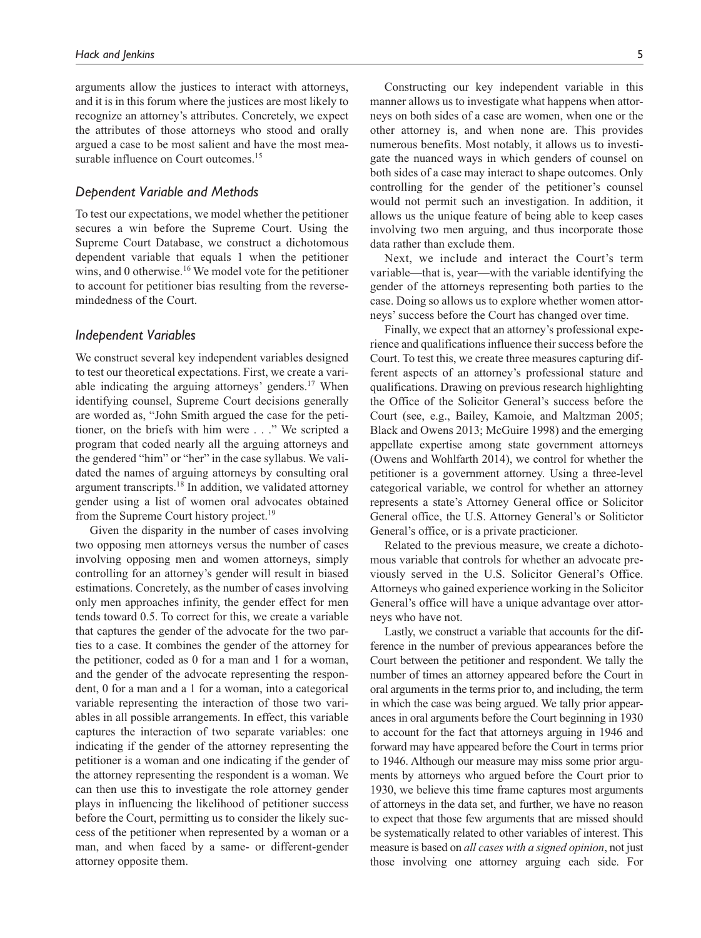arguments allow the justices to interact with attorneys, and it is in this forum where the justices are most likely to recognize an attorney's attributes. Concretely, we expect the attributes of those attorneys who stood and orally argued a case to be most salient and have the most measurable influence on Court outcomes.<sup>15</sup>

# *Dependent Variable and Methods*

To test our expectations, we model whether the petitioner secures a win before the Supreme Court. Using the Supreme Court Database, we construct a dichotomous dependent variable that equals 1 when the petitioner wins, and 0 otherwise.<sup>16</sup> We model vote for the petitioner to account for petitioner bias resulting from the reversemindedness of the Court.

# *Independent Variables*

We construct several key independent variables designed to test our theoretical expectations. First, we create a variable indicating the arguing attorneys' genders. $17$  When identifying counsel, Supreme Court decisions generally are worded as, "John Smith argued the case for the petitioner, on the briefs with him were . . ." We scripted a program that coded nearly all the arguing attorneys and the gendered "him" or "her" in the case syllabus. We validated the names of arguing attorneys by consulting oral argument transcripts.18 In addition, we validated attorney gender using a list of women oral advocates obtained from the Supreme Court history project.<sup>19</sup>

Given the disparity in the number of cases involving two opposing men attorneys versus the number of cases involving opposing men and women attorneys, simply controlling for an attorney's gender will result in biased estimations. Concretely, as the number of cases involving only men approaches infinity, the gender effect for men tends toward 0.5. To correct for this, we create a variable that captures the gender of the advocate for the two parties to a case. It combines the gender of the attorney for the petitioner, coded as 0 for a man and 1 for a woman, and the gender of the advocate representing the respondent, 0 for a man and a 1 for a woman, into a categorical variable representing the interaction of those two variables in all possible arrangements. In effect, this variable captures the interaction of two separate variables: one indicating if the gender of the attorney representing the petitioner is a woman and one indicating if the gender of the attorney representing the respondent is a woman. We can then use this to investigate the role attorney gender plays in influencing the likelihood of petitioner success before the Court, permitting us to consider the likely success of the petitioner when represented by a woman or a man, and when faced by a same- or different-gender attorney opposite them.

Constructing our key independent variable in this manner allows us to investigate what happens when attorneys on both sides of a case are women, when one or the other attorney is, and when none are. This provides numerous benefits. Most notably, it allows us to investigate the nuanced ways in which genders of counsel on both sides of a case may interact to shape outcomes. Only controlling for the gender of the petitioner's counsel would not permit such an investigation. In addition, it allows us the unique feature of being able to keep cases involving two men arguing, and thus incorporate those

Next, we include and interact the Court's term variable—that is, year—with the variable identifying the gender of the attorneys representing both parties to the case. Doing so allows us to explore whether women attorneys' success before the Court has changed over time.

data rather than exclude them.

Finally, we expect that an attorney's professional experience and qualifications influence their success before the Court. To test this, we create three measures capturing different aspects of an attorney's professional stature and qualifications. Drawing on previous research highlighting the Office of the Solicitor General's success before the Court (see, e.g., Bailey, Kamoie, and Maltzman 2005; Black and Owens 2013; McGuire 1998) and the emerging appellate expertise among state government attorneys (Owens and Wohlfarth 2014), we control for whether the petitioner is a government attorney. Using a three-level categorical variable, we control for whether an attorney represents a state's Attorney General office or Solicitor General office, the U.S. Attorney General's or Solitictor General's office, or is a private practicioner.

Related to the previous measure, we create a dichotomous variable that controls for whether an advocate previously served in the U.S. Solicitor General's Office. Attorneys who gained experience working in the Solicitor General's office will have a unique advantage over attorneys who have not.

Lastly, we construct a variable that accounts for the difference in the number of previous appearances before the Court between the petitioner and respondent. We tally the number of times an attorney appeared before the Court in oral arguments in the terms prior to, and including, the term in which the case was being argued. We tally prior appearances in oral arguments before the Court beginning in 1930 to account for the fact that attorneys arguing in 1946 and forward may have appeared before the Court in terms prior to 1946. Although our measure may miss some prior arguments by attorneys who argued before the Court prior to 1930, we believe this time frame captures most arguments of attorneys in the data set, and further, we have no reason to expect that those few arguments that are missed should be systematically related to other variables of interest. This measure is based on *all cases with a signed opinion*, not just those involving one attorney arguing each side. For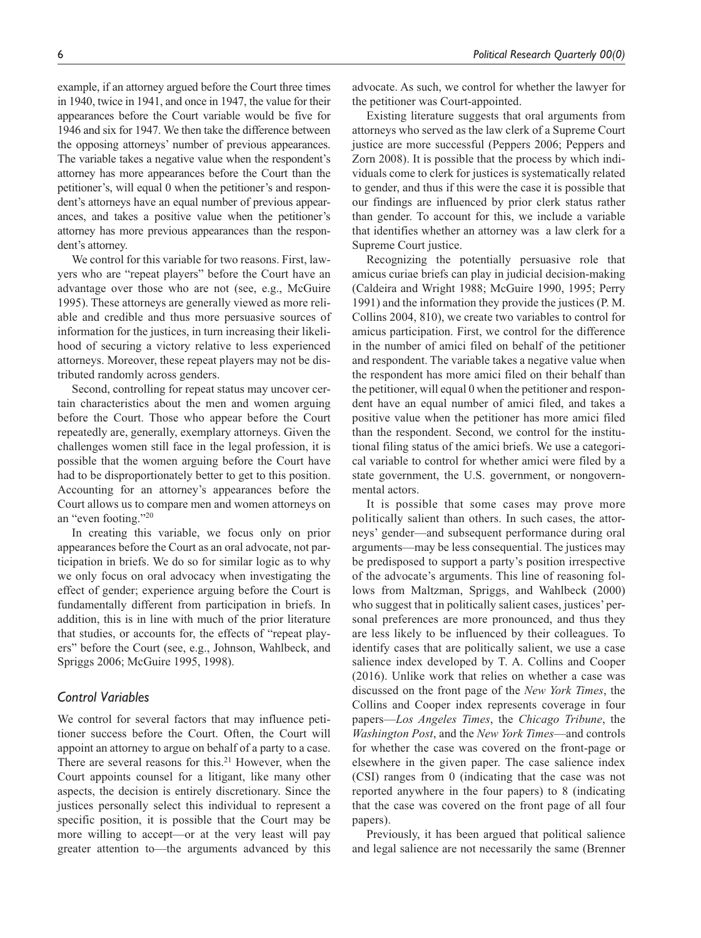example, if an attorney argued before the Court three times in 1940, twice in 1941, and once in 1947, the value for their appearances before the Court variable would be five for 1946 and six for 1947. We then take the difference between the opposing attorneys' number of previous appearances. The variable takes a negative value when the respondent's attorney has more appearances before the Court than the petitioner's, will equal 0 when the petitioner's and respondent's attorneys have an equal number of previous appearances, and takes a positive value when the petitioner's attorney has more previous appearances than the respondent's attorney.

We control for this variable for two reasons. First, lawyers who are "repeat players" before the Court have an advantage over those who are not (see, e.g., McGuire 1995). These attorneys are generally viewed as more reliable and credible and thus more persuasive sources of information for the justices, in turn increasing their likelihood of securing a victory relative to less experienced attorneys. Moreover, these repeat players may not be distributed randomly across genders.

Second, controlling for repeat status may uncover certain characteristics about the men and women arguing before the Court. Those who appear before the Court repeatedly are, generally, exemplary attorneys. Given the challenges women still face in the legal profession, it is possible that the women arguing before the Court have had to be disproportionately better to get to this position. Accounting for an attorney's appearances before the Court allows us to compare men and women attorneys on an "even footing."20

In creating this variable, we focus only on prior appearances before the Court as an oral advocate, not participation in briefs. We do so for similar logic as to why we only focus on oral advocacy when investigating the effect of gender; experience arguing before the Court is fundamentally different from participation in briefs. In addition, this is in line with much of the prior literature that studies, or accounts for, the effects of "repeat players" before the Court (see, e.g., Johnson, Wahlbeck, and Spriggs 2006; McGuire 1995, 1998).

# *Control Variables*

We control for several factors that may influence petitioner success before the Court. Often, the Court will appoint an attorney to argue on behalf of a party to a case. There are several reasons for this.<sup>21</sup> However, when the Court appoints counsel for a litigant, like many other aspects, the decision is entirely discretionary. Since the justices personally select this individual to represent a specific position, it is possible that the Court may be more willing to accept—or at the very least will pay greater attention to—the arguments advanced by this advocate. As such, we control for whether the lawyer for the petitioner was Court-appointed.

Existing literature suggests that oral arguments from attorneys who served as the law clerk of a Supreme Court justice are more successful (Peppers 2006; Peppers and Zorn 2008). It is possible that the process by which individuals come to clerk for justices is systematically related to gender, and thus if this were the case it is possible that our findings are influenced by prior clerk status rather than gender. To account for this, we include a variable that identifies whether an attorney was a law clerk for a Supreme Court justice.

Recognizing the potentially persuasive role that amicus curiae briefs can play in judicial decision-making (Caldeira and Wright 1988; McGuire 1990, 1995; Perry 1991) and the information they provide the justices (P. M. Collins 2004, 810), we create two variables to control for amicus participation. First, we control for the difference in the number of amici filed on behalf of the petitioner and respondent. The variable takes a negative value when the respondent has more amici filed on their behalf than the petitioner, will equal 0 when the petitioner and respondent have an equal number of amici filed, and takes a positive value when the petitioner has more amici filed than the respondent. Second, we control for the institutional filing status of the amici briefs. We use a categorical variable to control for whether amici were filed by a state government, the U.S. government, or nongovernmental actors.

It is possible that some cases may prove more politically salient than others. In such cases, the attorneys' gender—and subsequent performance during oral arguments—may be less consequential. The justices may be predisposed to support a party's position irrespective of the advocate's arguments. This line of reasoning follows from Maltzman, Spriggs, and Wahlbeck (2000) who suggest that in politically salient cases, justices' personal preferences are more pronounced, and thus they are less likely to be influenced by their colleagues. To identify cases that are politically salient, we use a case salience index developed by T. A. Collins and Cooper (2016). Unlike work that relies on whether a case was discussed on the front page of the *New York Times*, the Collins and Cooper index represents coverage in four papers—*Los Angeles Times*, the *Chicago Tribune*, the *Washington Post*, and the *New York Times*—and controls for whether the case was covered on the front-page or elsewhere in the given paper. The case salience index (CSI) ranges from 0 (indicating that the case was not reported anywhere in the four papers) to 8 (indicating that the case was covered on the front page of all four papers).

Previously, it has been argued that political salience and legal salience are not necessarily the same (Brenner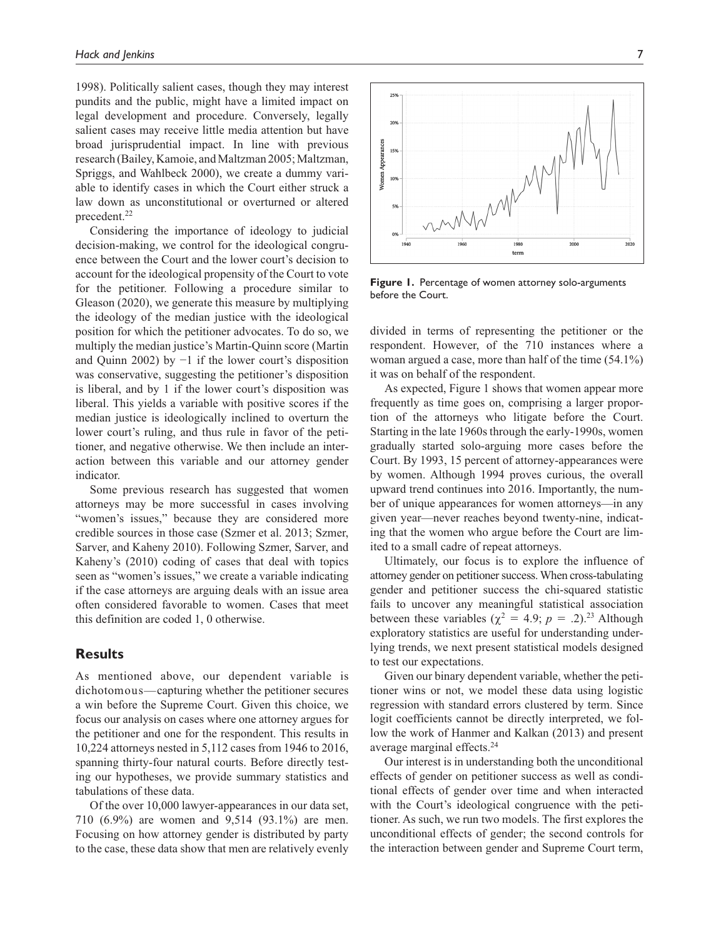1998). Politically salient cases, though they may interest pundits and the public, might have a limited impact on legal development and procedure. Conversely, legally salient cases may receive little media attention but have broad jurisprudential impact. In line with previous research (Bailey, Kamoie, and Maltzman 2005; Maltzman, Spriggs, and Wahlbeck 2000), we create a dummy variable to identify cases in which the Court either struck a law down as unconstitutional or overturned or altered precedent.<sup>22</sup>

Considering the importance of ideology to judicial decision-making, we control for the ideological congruence between the Court and the lower court's decision to account for the ideological propensity of the Court to vote for the petitioner. Following a procedure similar to Gleason (2020), we generate this measure by multiplying the ideology of the median justice with the ideological position for which the petitioner advocates. To do so, we multiply the median justice's Martin-Quinn score (Martin and Quinn 2002) by −1 if the lower court's disposition was conservative, suggesting the petitioner's disposition is liberal, and by 1 if the lower court's disposition was liberal. This yields a variable with positive scores if the median justice is ideologically inclined to overturn the lower court's ruling, and thus rule in favor of the petitioner, and negative otherwise. We then include an interaction between this variable and our attorney gender indicator.

Some previous research has suggested that women attorneys may be more successful in cases involving "women's issues," because they are considered more credible sources in those case (Szmer et al. 2013; Szmer, Sarver, and Kaheny 2010). Following Szmer, Sarver, and Kaheny's (2010) coding of cases that deal with topics seen as "women's issues," we create a variable indicating if the case attorneys are arguing deals with an issue area often considered favorable to women. Cases that meet this definition are coded 1, 0 otherwise.

# **Results**

As mentioned above, our dependent variable is dichotomous—capturing whether the petitioner secures a win before the Supreme Court. Given this choice, we focus our analysis on cases where one attorney argues for the petitioner and one for the respondent. This results in 10,224 attorneys nested in 5,112 cases from 1946 to 2016, spanning thirty-four natural courts. Before directly testing our hypotheses, we provide summary statistics and tabulations of these data.

Of the over 10,000 lawyer-appearances in our data set, 710 (6.9%) are women and 9,514 (93.1%) are men. Focusing on how attorney gender is distributed by party to the case, these data show that men are relatively evenly



**Figure 1.** Percentage of women attorney solo-arguments before the Court.

divided in terms of representing the petitioner or the respondent. However, of the 710 instances where a woman argued a case, more than half of the time (54.1%) it was on behalf of the respondent.

As expected, Figure 1 shows that women appear more frequently as time goes on, comprising a larger proportion of the attorneys who litigate before the Court. Starting in the late 1960s through the early-1990s, women gradually started solo-arguing more cases before the Court. By 1993, 15 percent of attorney-appearances were by women. Although 1994 proves curious, the overall upward trend continues into 2016. Importantly, the number of unique appearances for women attorneys—in any given year—never reaches beyond twenty-nine, indicating that the women who argue before the Court are limited to a small cadre of repeat attorneys.

Ultimately, our focus is to explore the influence of attorney gender on petitioner success. When cross-tabulating gender and petitioner success the chi-squared statistic fails to uncover any meaningful statistical association between these variables ( $\chi^2 = 4.9$ ;  $p = .2$ ).<sup>23</sup> Although exploratory statistics are useful for understanding underlying trends, we next present statistical models designed to test our expectations.

Given our binary dependent variable, whether the petitioner wins or not, we model these data using logistic regression with standard errors clustered by term. Since logit coefficients cannot be directly interpreted, we follow the work of Hanmer and Kalkan (2013) and present average marginal effects.24

Our interest is in understanding both the unconditional effects of gender on petitioner success as well as conditional effects of gender over time and when interacted with the Court's ideological congruence with the petitioner. As such, we run two models. The first explores the unconditional effects of gender; the second controls for the interaction between gender and Supreme Court term,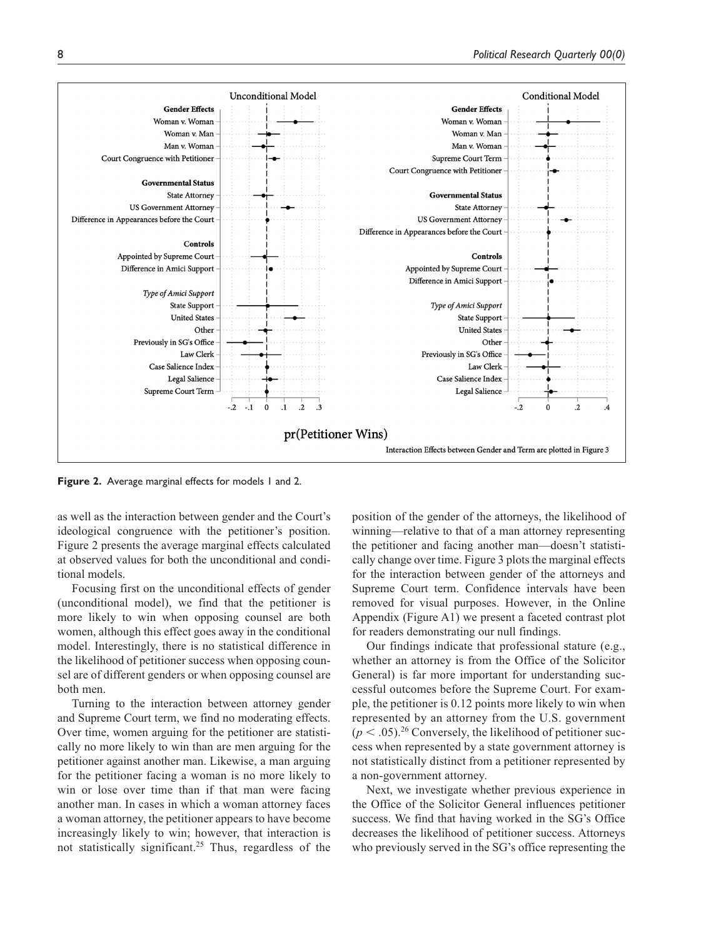

Figure 2. Average marginal effects for models 1 and 2.

as well as the interaction between gender and the Court's ideological congruence with the petitioner's position. Figure 2 presents the average marginal effects calculated at observed values for both the unconditional and conditional models.

Focusing first on the unconditional effects of gender (unconditional model), we find that the petitioner is more likely to win when opposing counsel are both women, although this effect goes away in the conditional model. Interestingly, there is no statistical difference in the likelihood of petitioner success when opposing counsel are of different genders or when opposing counsel are both men.

Turning to the interaction between attorney gender and Supreme Court term, we find no moderating effects. Over time, women arguing for the petitioner are statistically no more likely to win than are men arguing for the petitioner against another man. Likewise, a man arguing for the petitioner facing a woman is no more likely to win or lose over time than if that man were facing another man. In cases in which a woman attorney faces a woman attorney, the petitioner appears to have become increasingly likely to win; however, that interaction is not statistically significant.25 Thus, regardless of the

position of the gender of the attorneys, the likelihood of winning—relative to that of a man attorney representing the petitioner and facing another man—doesn't statistically change over time. Figure 3 plots the marginal effects for the interaction between gender of the attorneys and Supreme Court term. Confidence intervals have been removed for visual purposes. However, in the Online Appendix (Figure A1) we present a faceted contrast plot for readers demonstrating our null findings.

Our findings indicate that professional stature (e.g., whether an attorney is from the Office of the Solicitor General) is far more important for understanding successful outcomes before the Supreme Court. For example, the petitioner is 0.12 points more likely to win when represented by an attorney from the U.S. government  $(p < .05).^{26}$  Conversely, the likelihood of petitioner success when represented by a state government attorney is not statistically distinct from a petitioner represented by a non-government attorney.

Next, we investigate whether previous experience in the Office of the Solicitor General influences petitioner success. We find that having worked in the SG's Office decreases the likelihood of petitioner success. Attorneys who previously served in the SG's office representing the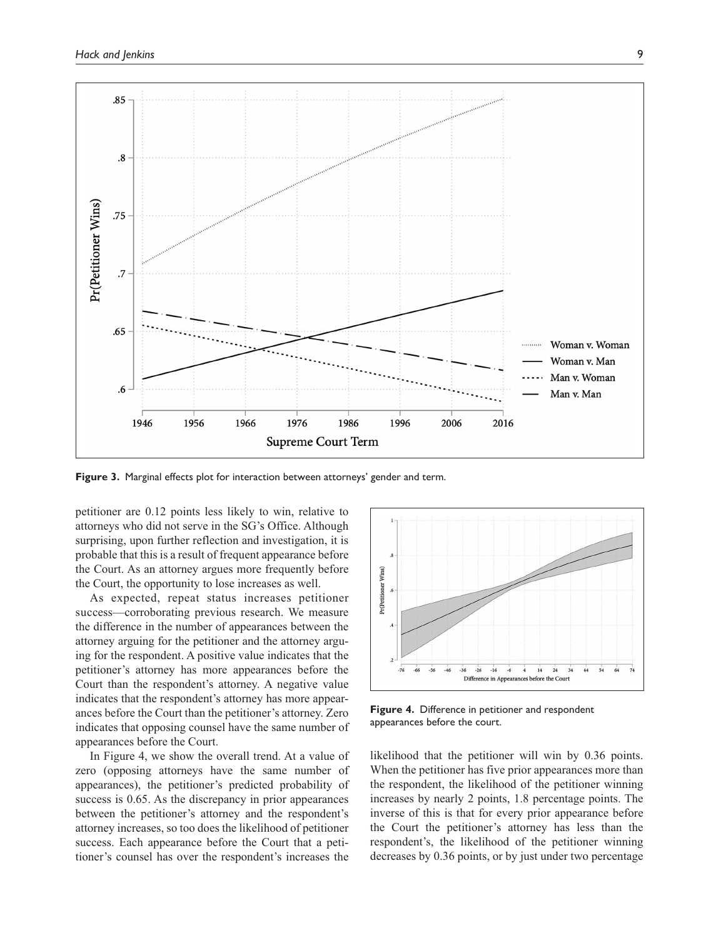

**Figure 3.** Marginal effects plot for interaction between attorneys' gender and term.

petitioner are 0.12 points less likely to win, relative to attorneys who did not serve in the SG's Office. Although surprising, upon further reflection and investigation, it is probable that this is a result of frequent appearance before the Court. As an attorney argues more frequently before the Court, the opportunity to lose increases as well.

As expected, repeat status increases petitioner success—corroborating previous research. We measure the difference in the number of appearances between the attorney arguing for the petitioner and the attorney arguing for the respondent. A positive value indicates that the petitioner's attorney has more appearances before the Court than the respondent's attorney. A negative value indicates that the respondent's attorney has more appearances before the Court than the petitioner's attorney. Zero indicates that opposing counsel have the same number of appearances before the Court.

In Figure 4, we show the overall trend. At a value of zero (opposing attorneys have the same number of appearances), the petitioner's predicted probability of success is 0.65. As the discrepancy in prior appearances between the petitioner's attorney and the respondent's attorney increases, so too does the likelihood of petitioner success. Each appearance before the Court that a petitioner's counsel has over the respondent's increases the



**Figure 4.** Difference in petitioner and respondent appearances before the court.

likelihood that the petitioner will win by 0.36 points. When the petitioner has five prior appearances more than the respondent, the likelihood of the petitioner winning increases by nearly 2 points, 1.8 percentage points. The inverse of this is that for every prior appearance before the Court the petitioner's attorney has less than the respondent's, the likelihood of the petitioner winning decreases by 0.36 points, or by just under two percentage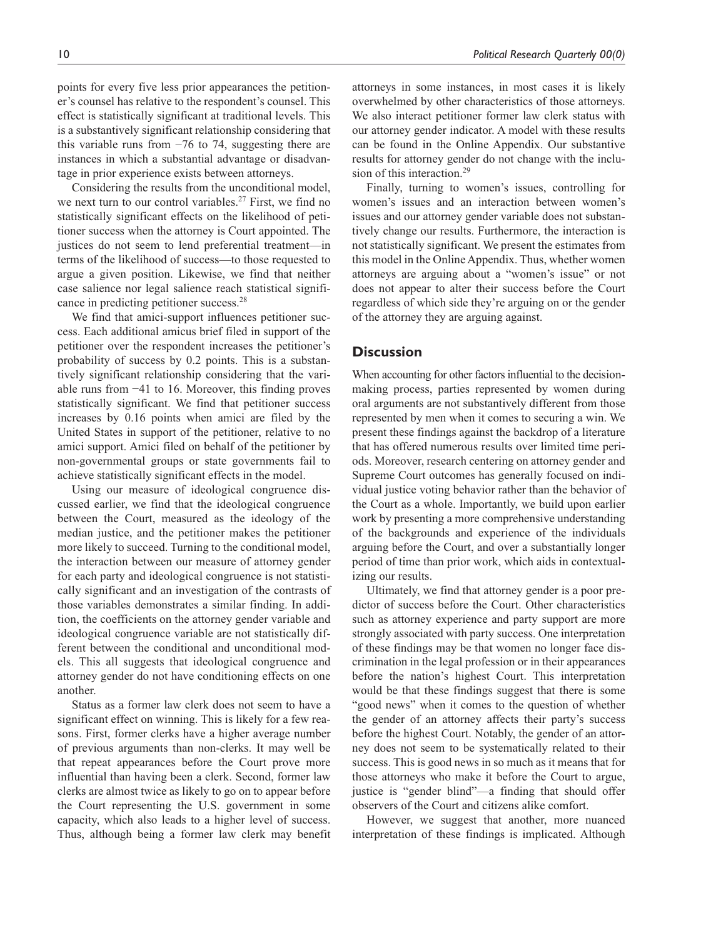points for every five less prior appearances the petitioner's counsel has relative to the respondent's counsel. This effect is statistically significant at traditional levels. This is a substantively significant relationship considering that this variable runs from −76 to 74, suggesting there are instances in which a substantial advantage or disadvantage in prior experience exists between attorneys.

Considering the results from the unconditional model, we next turn to our control variables.<sup>27</sup> First, we find no statistically significant effects on the likelihood of petitioner success when the attorney is Court appointed. The justices do not seem to lend preferential treatment—in terms of the likelihood of success—to those requested to argue a given position. Likewise, we find that neither case salience nor legal salience reach statistical significance in predicting petitioner success.28

We find that amici-support influences petitioner success. Each additional amicus brief filed in support of the petitioner over the respondent increases the petitioner's probability of success by 0.2 points. This is a substantively significant relationship considering that the variable runs from −41 to 16. Moreover, this finding proves statistically significant. We find that petitioner success increases by 0.16 points when amici are filed by the United States in support of the petitioner, relative to no amici support. Amici filed on behalf of the petitioner by non-governmental groups or state governments fail to achieve statistically significant effects in the model.

Using our measure of ideological congruence discussed earlier, we find that the ideological congruence between the Court, measured as the ideology of the median justice, and the petitioner makes the petitioner more likely to succeed. Turning to the conditional model, the interaction between our measure of attorney gender for each party and ideological congruence is not statistically significant and an investigation of the contrasts of those variables demonstrates a similar finding. In addition, the coefficients on the attorney gender variable and ideological congruence variable are not statistically different between the conditional and unconditional models. This all suggests that ideological congruence and attorney gender do not have conditioning effects on one another.

Status as a former law clerk does not seem to have a significant effect on winning. This is likely for a few reasons. First, former clerks have a higher average number of previous arguments than non-clerks. It may well be that repeat appearances before the Court prove more influential than having been a clerk. Second, former law clerks are almost twice as likely to go on to appear before the Court representing the U.S. government in some capacity, which also leads to a higher level of success. Thus, although being a former law clerk may benefit attorneys in some instances, in most cases it is likely overwhelmed by other characteristics of those attorneys. We also interact petitioner former law clerk status with our attorney gender indicator. A model with these results can be found in the Online Appendix. Our substantive results for attorney gender do not change with the inclusion of this interaction.<sup>29</sup>

Finally, turning to women's issues, controlling for women's issues and an interaction between women's issues and our attorney gender variable does not substantively change our results. Furthermore, the interaction is not statistically significant. We present the estimates from this model in the Online Appendix. Thus, whether women attorneys are arguing about a "women's issue" or not does not appear to alter their success before the Court regardless of which side they're arguing on or the gender of the attorney they are arguing against.

## **Discussion**

When accounting for other factors influential to the decisionmaking process, parties represented by women during oral arguments are not substantively different from those represented by men when it comes to securing a win. We present these findings against the backdrop of a literature that has offered numerous results over limited time periods. Moreover, research centering on attorney gender and Supreme Court outcomes has generally focused on individual justice voting behavior rather than the behavior of the Court as a whole. Importantly, we build upon earlier work by presenting a more comprehensive understanding of the backgrounds and experience of the individuals arguing before the Court, and over a substantially longer period of time than prior work, which aids in contextualizing our results.

Ultimately, we find that attorney gender is a poor predictor of success before the Court. Other characteristics such as attorney experience and party support are more strongly associated with party success. One interpretation of these findings may be that women no longer face discrimination in the legal profession or in their appearances before the nation's highest Court. This interpretation would be that these findings suggest that there is some "good news" when it comes to the question of whether the gender of an attorney affects their party's success before the highest Court. Notably, the gender of an attorney does not seem to be systematically related to their success. This is good news in so much as it means that for those attorneys who make it before the Court to argue, justice is "gender blind"—a finding that should offer observers of the Court and citizens alike comfort.

However, we suggest that another, more nuanced interpretation of these findings is implicated. Although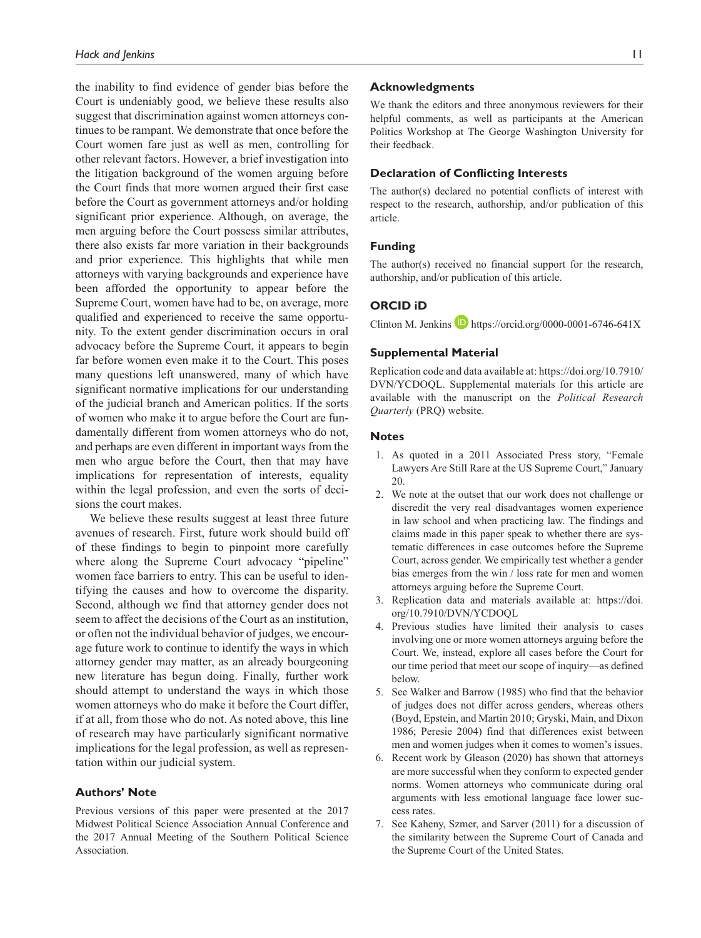the inability to find evidence of gender bias before the Court is undeniably good, we believe these results also suggest that discrimination against women attorneys continues to be rampant. We demonstrate that once before the Court women fare just as well as men, controlling for other relevant factors. However, a brief investigation into the litigation background of the women arguing before the Court finds that more women argued their first case before the Court as government attorneys and/or holding significant prior experience. Although, on average, the men arguing before the Court possess similar attributes, there also exists far more variation in their backgrounds and prior experience. This highlights that while men attorneys with varying backgrounds and experience have been afforded the opportunity to appear before the Supreme Court, women have had to be, on average, more qualified and experienced to receive the same opportunity. To the extent gender discrimination occurs in oral advocacy before the Supreme Court, it appears to begin far before women even make it to the Court. This poses many questions left unanswered, many of which have significant normative implications for our understanding of the judicial branch and American politics. If the sorts of women who make it to argue before the Court are fundamentally different from women attorneys who do not, and perhaps are even different in important ways from the men who argue before the Court, then that may have implications for representation of interests, equality within the legal profession, and even the sorts of decisions the court makes.

We believe these results suggest at least three future avenues of research. First, future work should build off of these findings to begin to pinpoint more carefully where along the Supreme Court advocacy "pipeline" women face barriers to entry. This can be useful to identifying the causes and how to overcome the disparity. Second, although we find that attorney gender does not seem to affect the decisions of the Court as an institution, or often not the individual behavior of judges, we encourage future work to continue to identify the ways in which attorney gender may matter, as an already bourgeoning new literature has begun doing. Finally, further work should attempt to understand the ways in which those women attorneys who do make it before the Court differ, if at all, from those who do not. As noted above, this line of research may have particularly significant normative implications for the legal profession, as well as representation within our judicial system.

# **Authors' Note**

Previous versions of this paper were presented at the 2017 Midwest Political Science Association Annual Conference and the 2017 Annual Meeting of the Southern Political Science Association.

#### **Acknowledgments**

We thank the editors and three anonymous reviewers for their helpful comments, as well as participants at the American Politics Workshop at The George Washington University for their feedback.

# **Declaration of Conflicting Interests**

The author(s) declared no potential conflicts of interest with respect to the research, authorship, and/or publication of this article.

## **Funding**

The author(s) received no financial support for the research, authorship, and/or publication of this article.

# **ORCID iD**

Clinton M. Jenkins  $\blacksquare$  <https://orcid.org/0000-0001-6746-641X>

#### **Supplemental Material**

Replication code and data available at: [https://doi.org/10.7910/](https://doi.org/10.7910/DVN/YCDOQL) [DVN/YCDOQL](https://doi.org/10.7910/DVN/YCDOQL). Supplemental materials for this article are available with the manuscript on the *Political Research Quarterly* (PRQ) website.

#### **Notes**

- 1. As quoted in a 2011 Associated Press story, "Female Lawyers Are Still Rare at the US Supreme Court," January 20.
- 2. We note at the outset that our work does not challenge or discredit the very real disadvantages women experience in law school and when practicing law. The findings and claims made in this paper speak to whether there are systematic differences in case outcomes before the Supreme Court, across gender. We empirically test whether a gender bias emerges from the win / loss rate for men and women attorneys arguing before the Supreme Court.
- 3. Replication data and materials available at: [https://doi.](https://doi.org/10.7910/DVN/YCDOQL) [org/10.7910/DVN/YCDOQL](https://doi.org/10.7910/DVN/YCDOQL)
- 4. Previous studies have limited their analysis to cases involving one or more women attorneys arguing before the Court. We, instead, explore all cases before the Court for our time period that meet our scope of inquiry—as defined below.
- 5. See Walker and Barrow (1985) who find that the behavior of judges does not differ across genders, whereas others (Boyd, Epstein, and Martin 2010; Gryski, Main, and Dixon 1986; Peresie 2004) find that differences exist between men and women judges when it comes to women's issues.
- 6. Recent work by Gleason (2020) has shown that attorneys are more successful when they conform to expected gender norms. Women attorneys who communicate during oral arguments with less emotional language face lower success rates.
- 7. See Kaheny, Szmer, and Sarver (2011) for a discussion of the similarity between the Supreme Court of Canada and the Supreme Court of the United States.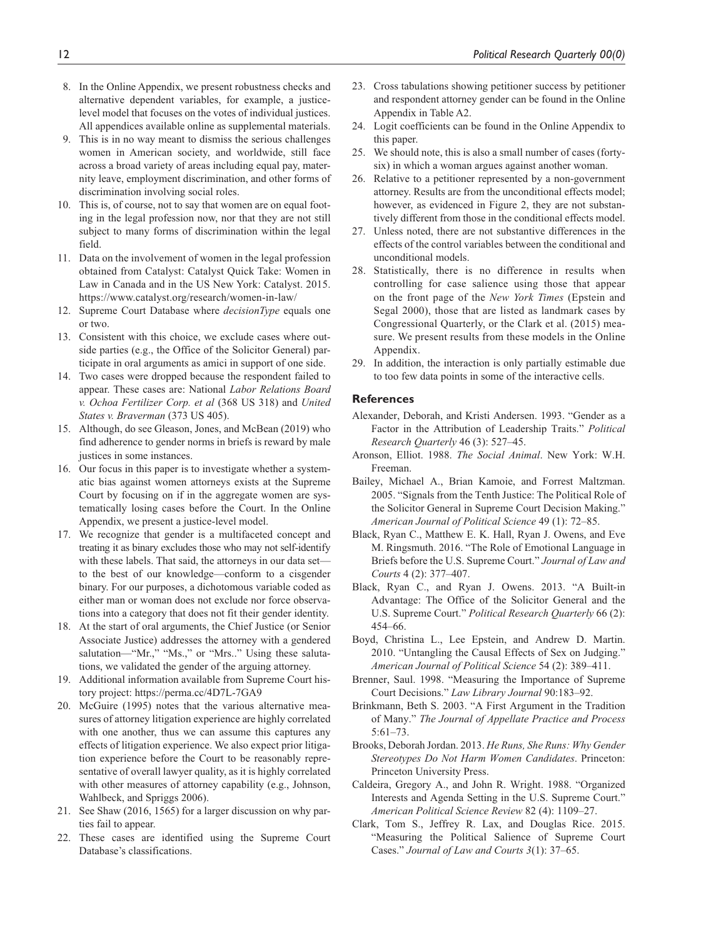- 8. In the Online Appendix, we present robustness checks and alternative dependent variables, for example, a justicelevel model that focuses on the votes of individual justices. All appendices available online as supplemental materials.
- 9. This is in no way meant to dismiss the serious challenges women in American society, and worldwide, still face across a broad variety of areas including equal pay, maternity leave, employment discrimination, and other forms of discrimination involving social roles.
- 10. This is, of course, not to say that women are on equal footing in the legal profession now, nor that they are not still subject to many forms of discrimination within the legal field.
- 11. Data on the involvement of women in the legal profession obtained from Catalyst: Catalyst Quick Take: Women in Law in Canada and in the US New York: Catalyst. 2015. <https://www.catalyst.org/research/women-in-law/>
- 12. Supreme Court Database where *decisionType* equals one or two.
- 13. Consistent with this choice, we exclude cases where outside parties (e.g., the Office of the Solicitor General) participate in oral arguments as amici in support of one side.
- 14. Two cases were dropped because the respondent failed to appear. These cases are: National *Labor Relations Board v. Ochoa Fertilizer Corp. et al* (368 US 318) and *United States v. Braverman* (373 US 405).
- 15. Although, do see Gleason, Jones, and McBean (2019) who find adherence to gender norms in briefs is reward by male justices in some instances.
- 16. Our focus in this paper is to investigate whether a systematic bias against women attorneys exists at the Supreme Court by focusing on if in the aggregate women are systematically losing cases before the Court. In the Online Appendix, we present a justice-level model.
- 17. We recognize that gender is a multifaceted concept and treating it as binary excludes those who may not self-identify with these labels. That said, the attorneys in our data set to the best of our knowledge—conform to a cisgender binary. For our purposes, a dichotomous variable coded as either man or woman does not exclude nor force observations into a category that does not fit their gender identity.
- 18. At the start of oral arguments, the Chief Justice (or Senior Associate Justice) addresses the attorney with a gendered salutation—"Mr.," "Ms.," or "Mrs.." Using these salutations, we validated the gender of the arguing attorney.
- 19. Additional information available from Supreme Court history project:<https://perma.cc/4D7L-7GA9>
- 20. McGuire (1995) notes that the various alternative measures of attorney litigation experience are highly correlated with one another, thus we can assume this captures any effects of litigation experience. We also expect prior litigation experience before the Court to be reasonably representative of overall lawyer quality, as it is highly correlated with other measures of attorney capability (e.g., Johnson, Wahlbeck, and Spriggs 2006).
- 21. See Shaw (2016, 1565) for a larger discussion on why parties fail to appear.
- 22. These cases are identified using the Supreme Court Database's classifications.
- 23. Cross tabulations showing petitioner success by petitioner and respondent attorney gender can be found in the Online Appendix in Table A2.
- 24. Logit coefficients can be found in the Online Appendix to this paper.
- 25. We should note, this is also a small number of cases (fortysix) in which a woman argues against another woman.
- 26. Relative to a petitioner represented by a non-government attorney. Results are from the unconditional effects model; however, as evidenced in Figure 2, they are not substantively different from those in the conditional effects model.
- 27. Unless noted, there are not substantive differences in the effects of the control variables between the conditional and unconditional models.
- 28. Statistically, there is no difference in results when controlling for case salience using those that appear on the front page of the *New York Times* (Epstein and Segal 2000), those that are listed as landmark cases by Congressional Quarterly, or the Clark et al. (2015) measure. We present results from these models in the Online Appendix.
- 29. In addition, the interaction is only partially estimable due to too few data points in some of the interactive cells.

## **References**

- Alexander, Deborah, and Kristi Andersen. 1993. "Gender as a Factor in the Attribution of Leadership Traits." *Political Research Quarterly* 46 (3): 527–45.
- Aronson, Elliot. 1988. *The Social Animal*. New York: W.H. Freeman.
- Bailey, Michael A., Brian Kamoie, and Forrest Maltzman. 2005. "Signals from the Tenth Justice: The Political Role of the Solicitor General in Supreme Court Decision Making." *American Journal of Political Science* 49 (1): 72–85.
- Black, Ryan C., Matthew E. K. Hall, Ryan J. Owens, and Eve M. Ringsmuth. 2016. "The Role of Emotional Language in Briefs before the U.S. Supreme Court." *Journal of Law and Courts* 4 (2): 377–407.
- Black, Ryan C., and Ryan J. Owens. 2013. "A Built-in Advantage: The Office of the Solicitor General and the U.S. Supreme Court." *Political Research Quarterly* 66 (2): 454–66.
- Boyd, Christina L., Lee Epstein, and Andrew D. Martin. 2010. "Untangling the Causal Effects of Sex on Judging." *American Journal of Political Science* 54 (2): 389–411.
- Brenner, Saul. 1998. "Measuring the Importance of Supreme Court Decisions." *Law Library Journal* 90:183–92.
- Brinkmann, Beth S. 2003. "A First Argument in the Tradition of Many." *The Journal of Appellate Practice and Process* 5:61–73.
- Brooks, Deborah Jordan. 2013. *He Runs, She Runs: Why Gender Stereotypes Do Not Harm Women Candidates*. Princeton: Princeton University Press.
- Caldeira, Gregory A., and John R. Wright. 1988. "Organized Interests and Agenda Setting in the U.S. Supreme Court." *American Political Science Review* 82 (4): 1109–27.
- Clark, Tom S., Jeffrey R. Lax, and Douglas Rice. 2015. "Measuring the Political Salience of Supreme Court Cases." *Journal of Law and Courts 3*(1): 37–65.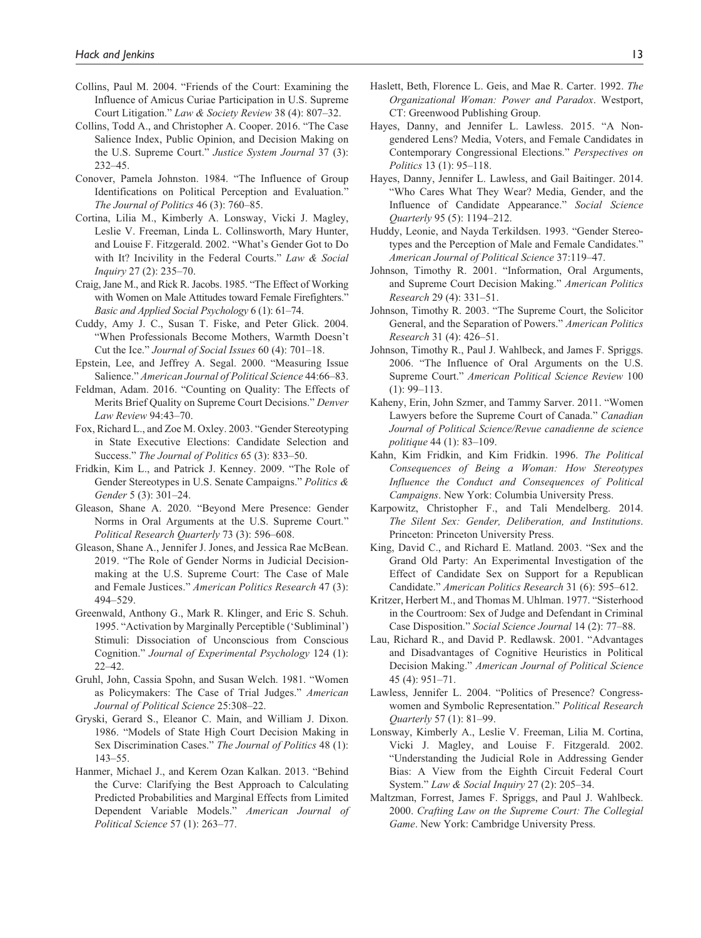- Collins, Paul M. 2004. "Friends of the Court: Examining the Influence of Amicus Curiae Participation in U.S. Supreme Court Litigation." *Law & Society Review* 38 (4): 807–32.
- Collins, Todd A., and Christopher A. Cooper. 2016. "The Case Salience Index, Public Opinion, and Decision Making on the U.S. Supreme Court." *Justice System Journal* 37 (3): 232–45.
- Conover, Pamela Johnston. 1984. "The Influence of Group Identifications on Political Perception and Evaluation." *The Journal of Politics* 46 (3): 760–85.
- Cortina, Lilia M., Kimberly A. Lonsway, Vicki J. Magley, Leslie V. Freeman, Linda L. Collinsworth, Mary Hunter, and Louise F. Fitzgerald. 2002. "What's Gender Got to Do with It? Incivility in the Federal Courts." *Law & Social Inquiry* 27 (2): 235–70.
- Craig, Jane M., and Rick R. Jacobs. 1985. "The Effect of Working with Women on Male Attitudes toward Female Firefighters." *Basic and Applied Social Psychology* 6 (1): 61–74.
- Cuddy, Amy J. C., Susan T. Fiske, and Peter Glick. 2004. "When Professionals Become Mothers, Warmth Doesn't Cut the Ice." *Journal of Social Issues* 60 (4): 701–18.
- Epstein, Lee, and Jeffrey A. Segal. 2000. "Measuring Issue Salience." *American Journal of Political Science* 44:66–83.
- Feldman, Adam. 2016. "Counting on Quality: The Effects of Merits Brief Quality on Supreme Court Decisions." *Denver Law Review* 94:43–70.
- Fox, Richard L., and Zoe M. Oxley. 2003. "Gender Stereotyping in State Executive Elections: Candidate Selection and Success." *The Journal of Politics* 65 (3): 833–50.
- Fridkin, Kim L., and Patrick J. Kenney. 2009. "The Role of Gender Stereotypes in U.S. Senate Campaigns." *Politics & Gender* 5 (3): 301–24.
- Gleason, Shane A. 2020. "Beyond Mere Presence: Gender Norms in Oral Arguments at the U.S. Supreme Court." *Political Research Quarterly* 73 (3): 596–608.
- Gleason, Shane A., Jennifer J. Jones, and Jessica Rae McBean. 2019. "The Role of Gender Norms in Judicial Decisionmaking at the U.S. Supreme Court: The Case of Male and Female Justices." *American Politics Research* 47 (3): 494–529.
- Greenwald, Anthony G., Mark R. Klinger, and Eric S. Schuh. 1995. "Activation by Marginally Perceptible ('Subliminal') Stimuli: Dissociation of Unconscious from Conscious Cognition." *Journal of Experimental Psychology* 124 (1): 22–42.
- Gruhl, John, Cassia Spohn, and Susan Welch. 1981. "Women as Policymakers: The Case of Trial Judges." *American Journal of Political Science* 25:308–22.
- Gryski, Gerard S., Eleanor C. Main, and William J. Dixon. 1986. "Models of State High Court Decision Making in Sex Discrimination Cases." *The Journal of Politics* 48 (1): 143–55.
- Hanmer, Michael J., and Kerem Ozan Kalkan. 2013. "Behind the Curve: Clarifying the Best Approach to Calculating Predicted Probabilities and Marginal Effects from Limited Dependent Variable Models." *American Journal of Political Science* 57 (1): 263–77.
- Haslett, Beth, Florence L. Geis, and Mae R. Carter. 1992. *The Organizational Woman: Power and Paradox*. Westport, CT: Greenwood Publishing Group.
- Hayes, Danny, and Jennifer L. Lawless. 2015. "A Nongendered Lens? Media, Voters, and Female Candidates in Contemporary Congressional Elections." *Perspectives on Politics* 13 (1): 95–118.
- Hayes, Danny, Jennifer L. Lawless, and Gail Baitinger. 2014. "Who Cares What They Wear? Media, Gender, and the Influence of Candidate Appearance." *Social Science Quarterly* 95 (5): 1194–212.
- Huddy, Leonie, and Nayda Terkildsen. 1993. "Gender Stereotypes and the Perception of Male and Female Candidates." *American Journal of Political Science* 37:119–47.
- Johnson, Timothy R. 2001. "Information, Oral Arguments, and Supreme Court Decision Making." *American Politics Research* 29 (4): 331–51.
- Johnson, Timothy R. 2003. "The Supreme Court, the Solicitor General, and the Separation of Powers." *American Politics Research* 31 (4): 426–51.
- Johnson, Timothy R., Paul J. Wahlbeck, and James F. Spriggs. 2006. "The Influence of Oral Arguments on the U.S. Supreme Court." *American Political Science Review* 100 (1): 99–113.
- Kaheny, Erin, John Szmer, and Tammy Sarver. 2011. "Women Lawyers before the Supreme Court of Canada." *Canadian Journal of Political Science/Revue canadienne de science politique* 44 (1): 83–109.
- Kahn, Kim Fridkin, and Kim Fridkin. 1996. *The Political Consequences of Being a Woman: How Stereotypes Influence the Conduct and Consequences of Political Campaigns*. New York: Columbia University Press.
- Karpowitz, Christopher F., and Tali Mendelberg. 2014. *The Silent Sex: Gender, Deliberation, and Institutions*. Princeton: Princeton University Press.
- King, David C., and Richard E. Matland. 2003. "Sex and the Grand Old Party: An Experimental Investigation of the Effect of Candidate Sex on Support for a Republican Candidate." *American Politics Research* 31 (6): 595–612.
- Kritzer, Herbert M., and Thomas M. Uhlman. 1977. "Sisterhood in the Courtroom: Sex of Judge and Defendant in Criminal Case Disposition." *Social Science Journal* 14 (2): 77–88.
- Lau, Richard R., and David P. Redlawsk. 2001. "Advantages and Disadvantages of Cognitive Heuristics in Political Decision Making." *American Journal of Political Science* 45 (4): 951–71.
- Lawless, Jennifer L. 2004. "Politics of Presence? Congresswomen and Symbolic Representation." *Political Research Quarterly* 57 (1): 81–99.
- Lonsway, Kimberly A., Leslie V. Freeman, Lilia M. Cortina, Vicki J. Magley, and Louise F. Fitzgerald. 2002. "Understanding the Judicial Role in Addressing Gender Bias: A View from the Eighth Circuit Federal Court System." *Law & Social Inquiry* 27 (2): 205–34.
- Maltzman, Forrest, James F. Spriggs, and Paul J. Wahlbeck. 2000. *Crafting Law on the Supreme Court: The Collegial Game*. New York: Cambridge University Press.